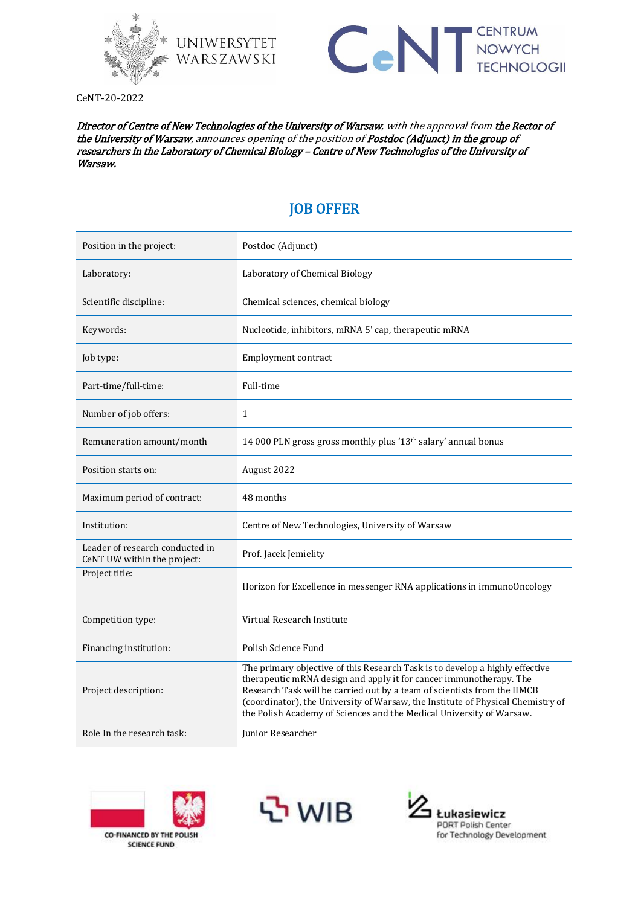

WARSZAWSKI



CeNT-20-2022

Director of Centre of New Technologies of the University of Warsaw, with the approval from the Rector of the University of Warsaw, announces opening of the position of Postdoc (Adjunct) in the group of researchers in the Laboratory of Chemical Biology – Centre of New Technologies of the University of Warsaw.

## JOB OFFER

| Position in the project:                                       | Postdoc (Adjunct)                                                                                                                                                                                                                                                                                                                                                                         |
|----------------------------------------------------------------|-------------------------------------------------------------------------------------------------------------------------------------------------------------------------------------------------------------------------------------------------------------------------------------------------------------------------------------------------------------------------------------------|
| Laboratory:                                                    | Laboratory of Chemical Biology                                                                                                                                                                                                                                                                                                                                                            |
| Scientific discipline:                                         | Chemical sciences, chemical biology                                                                                                                                                                                                                                                                                                                                                       |
| Keywords:                                                      | Nucleotide, inhibitors, mRNA 5' cap, therapeutic mRNA                                                                                                                                                                                                                                                                                                                                     |
| Job type:                                                      | Employment contract                                                                                                                                                                                                                                                                                                                                                                       |
| Part-time/full-time:                                           | Full-time                                                                                                                                                                                                                                                                                                                                                                                 |
| Number of job offers:                                          | $\mathbf{1}$                                                                                                                                                                                                                                                                                                                                                                              |
| Remuneration amount/month                                      | 14 000 PLN gross gross monthly plus '13 <sup>th</sup> salary' annual bonus                                                                                                                                                                                                                                                                                                                |
| Position starts on:                                            | August 2022                                                                                                                                                                                                                                                                                                                                                                               |
| Maximum period of contract:                                    | 48 months                                                                                                                                                                                                                                                                                                                                                                                 |
| Institution:                                                   | Centre of New Technologies, University of Warsaw                                                                                                                                                                                                                                                                                                                                          |
| Leader of research conducted in<br>CeNT UW within the project: | Prof. Jacek Jemielity                                                                                                                                                                                                                                                                                                                                                                     |
| Project title:                                                 | Horizon for Excellence in messenger RNA applications in immunoOncology                                                                                                                                                                                                                                                                                                                    |
| Competition type:                                              | Virtual Research Institute                                                                                                                                                                                                                                                                                                                                                                |
| Financing institution:                                         | Polish Science Fund                                                                                                                                                                                                                                                                                                                                                                       |
| Project description:                                           | The primary objective of this Research Task is to develop a highly effective<br>therapeutic mRNA design and apply it for cancer immunotherapy. The<br>Research Task will be carried out by a team of scientists from the IIMCB<br>(coordinator), the University of Warsaw, the Institute of Physical Chemistry of<br>the Polish Academy of Sciences and the Medical University of Warsaw. |
| Role In the research task:                                     | Junior Researcher                                                                                                                                                                                                                                                                                                                                                                         |





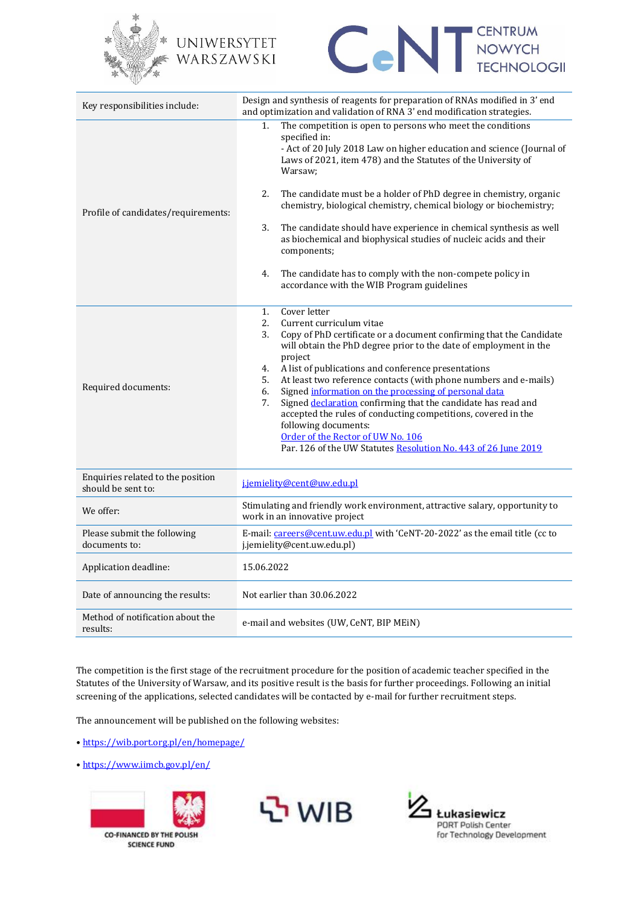

## UNIWERSYTET WARSZAWSKI



| Key responsibilities include:                           | Design and synthesis of reagents for preparation of RNAs modified in 3' end<br>and optimization and validation of RNA 3' end modification strategies.                                                                                                                                                                                                                                                                                                                                                                                                                                                                                                                                                      |  |
|---------------------------------------------------------|------------------------------------------------------------------------------------------------------------------------------------------------------------------------------------------------------------------------------------------------------------------------------------------------------------------------------------------------------------------------------------------------------------------------------------------------------------------------------------------------------------------------------------------------------------------------------------------------------------------------------------------------------------------------------------------------------------|--|
| Profile of candidates/requirements:                     | The competition is open to persons who meet the conditions<br>1.<br>specified in:<br>- Act of 20 July 2018 Law on higher education and science (Journal of<br>Laws of 2021, item 478) and the Statutes of the University of<br>Warsaw:<br>2.<br>The candidate must be a holder of PhD degree in chemistry, organic<br>chemistry, biological chemistry, chemical biology or biochemistry;<br>3.<br>The candidate should have experience in chemical synthesis as well<br>as biochemical and biophysical studies of nucleic acids and their<br>components;<br>The candidate has to comply with the non-compete policy in<br>4.<br>accordance with the WIB Program guidelines                                 |  |
| Required documents:                                     | Cover letter<br>1 <sub>1</sub><br>2.<br>Current curriculum vitae<br>3.<br>Copy of PhD certificate or a document confirming that the Candidate<br>will obtain the PhD degree prior to the date of employment in the<br>project<br>A list of publications and conference presentations<br>4.<br>At least two reference contacts (with phone numbers and e-mails)<br>5.<br>Signed information on the processing of personal data<br>6.<br>Signed declaration confirming that the candidate has read and<br>7.<br>accepted the rules of conducting competitions, covered in the<br>following documents:<br>Order of the Rector of UW No. 106<br>Par. 126 of the UW Statutes Resolution No. 443 of 26 June 2019 |  |
| Enquiries related to the position<br>should be sent to: | j.jemielity@cent@uw.edu.pl                                                                                                                                                                                                                                                                                                                                                                                                                                                                                                                                                                                                                                                                                 |  |
| We offer:                                               | Stimulating and friendly work environment, attractive salary, opportunity to<br>work in an innovative project                                                                                                                                                                                                                                                                                                                                                                                                                                                                                                                                                                                              |  |
| Please submit the following<br>documents to:            | E-mail: careers@cent.uw.edu.pl with 'CeNT-20-2022' as the email title (cc to<br>j.jemielity@cent.uw.edu.pl)                                                                                                                                                                                                                                                                                                                                                                                                                                                                                                                                                                                                |  |
| Application deadline:                                   | 15.06.2022                                                                                                                                                                                                                                                                                                                                                                                                                                                                                                                                                                                                                                                                                                 |  |
| Date of announcing the results:                         | Not earlier than 30.06.2022                                                                                                                                                                                                                                                                                                                                                                                                                                                                                                                                                                                                                                                                                |  |
| Method of notification about the<br>results:            | e-mail and websites (UW, CeNT, BIP MEiN)                                                                                                                                                                                                                                                                                                                                                                                                                                                                                                                                                                                                                                                                   |  |

The competition is the first stage of the recruitment procedure for the position of academic teacher specified in the Statutes of the University of Warsaw, and its positive result is the basis for further proceedings. Following an initial screening of the applications, selected candidates will be contacted by e-mail for further recruitment steps.

The announcement will be published on the following websites:

- <https://wib.port.org.pl/en/homepage/>
- <https://www.iimcb.gov.pl/en/>





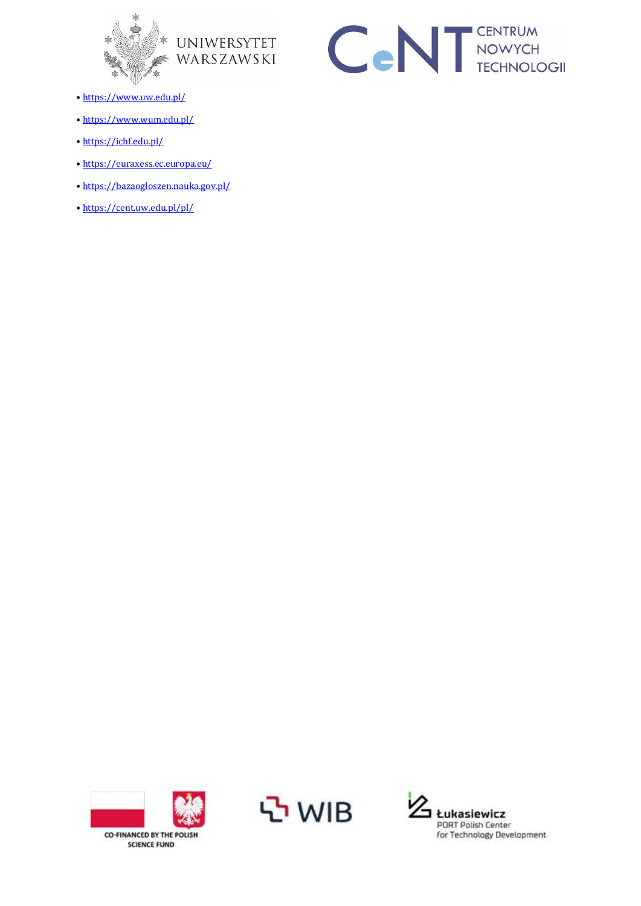





- <https://www.uw.edu.pl/>
- <https://www.wum.edu.pl/>
- <https://ichf.edu.pl/>
- <https://euraxess.ec.europa.eu/>
- <https://bazaogloszen.nauka.gov.pl/>
- <https://cent.uw.edu.pl/pl/>





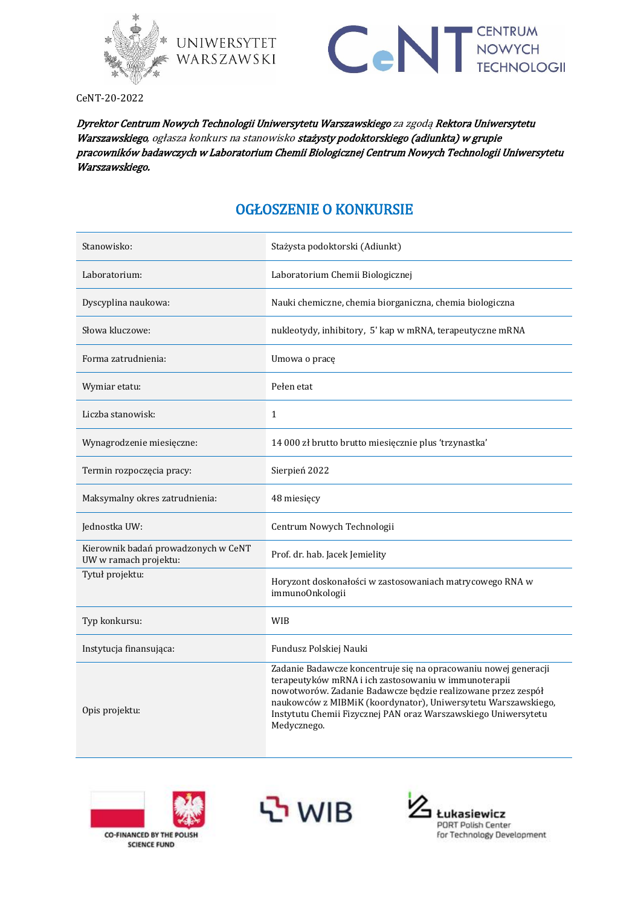



CeNT-20-2022

Dyrektor Centrum Nowych Technologii Uniwersytetu Warszawskiego za zgodą Rektora Uniwersytetu Warszawskiego, ogłasza konkurs na stanowisko stażysty podoktorskiego (adiunkta) w grupie pracowników badawczych w Laboratorium Chemii Biologicznej Centrum Nowych Technologii Uniwersytetu Warszawskiego.

## OGŁOSZENIE O KONKURSIE

| Stanowisko:                                                  | Stażysta podoktorski (Adiunkt)                                                                                                                                                                                                                                                                                                            |
|--------------------------------------------------------------|-------------------------------------------------------------------------------------------------------------------------------------------------------------------------------------------------------------------------------------------------------------------------------------------------------------------------------------------|
| Laboratorium:                                                | Laboratorium Chemii Biologicznej                                                                                                                                                                                                                                                                                                          |
| Dyscyplina naukowa:                                          | Nauki chemiczne, chemia biorganiczna, chemia biologiczna                                                                                                                                                                                                                                                                                  |
| Słowa kluczowe:                                              | nukleotydy, inhibitory, 5' kap w mRNA, terapeutyczne mRNA                                                                                                                                                                                                                                                                                 |
| Forma zatrudnienia:                                          | Umowa o pracę                                                                                                                                                                                                                                                                                                                             |
| Wymiar etatu:                                                | Pełen etat                                                                                                                                                                                                                                                                                                                                |
| Liczba stanowisk:                                            | $\mathbf{1}$                                                                                                                                                                                                                                                                                                                              |
| Wynagrodzenie miesięczne:                                    | 14 000 zł brutto brutto miesięcznie plus 'trzynastka'                                                                                                                                                                                                                                                                                     |
| Termin rozpoczęcia pracy:                                    | Sierpień 2022                                                                                                                                                                                                                                                                                                                             |
| Maksymalny okres zatrudnienia:                               | 48 miesięcy                                                                                                                                                                                                                                                                                                                               |
| Jednostka UW:                                                | Centrum Nowych Technologii                                                                                                                                                                                                                                                                                                                |
| Kierownik badań prowadzonych w CeNT<br>UW w ramach projektu: | Prof. dr. hab. Jacek Jemielity                                                                                                                                                                                                                                                                                                            |
| Tytuł projektu:                                              | Horyzont doskonałości w zastosowaniach matrycowego RNA w<br>immunoOnkologii                                                                                                                                                                                                                                                               |
| Typ konkursu:                                                | WIB                                                                                                                                                                                                                                                                                                                                       |
| Instytucja finansująca:                                      | Fundusz Polskiej Nauki                                                                                                                                                                                                                                                                                                                    |
| Opis projektu:                                               | Zadanie Badawcze koncentruje się na opracowaniu nowej generacji<br>terapeutyków mRNA i ich zastosowaniu w immunoterapii<br>nowotworów. Zadanie Badawcze będzie realizowane przez zespół<br>naukowców z MIBMiK (koordynator), Uniwersytetu Warszawskiego,<br>Instytutu Chemii Fizycznej PAN oraz Warszawskiego Uniwersytetu<br>Medycznego. |





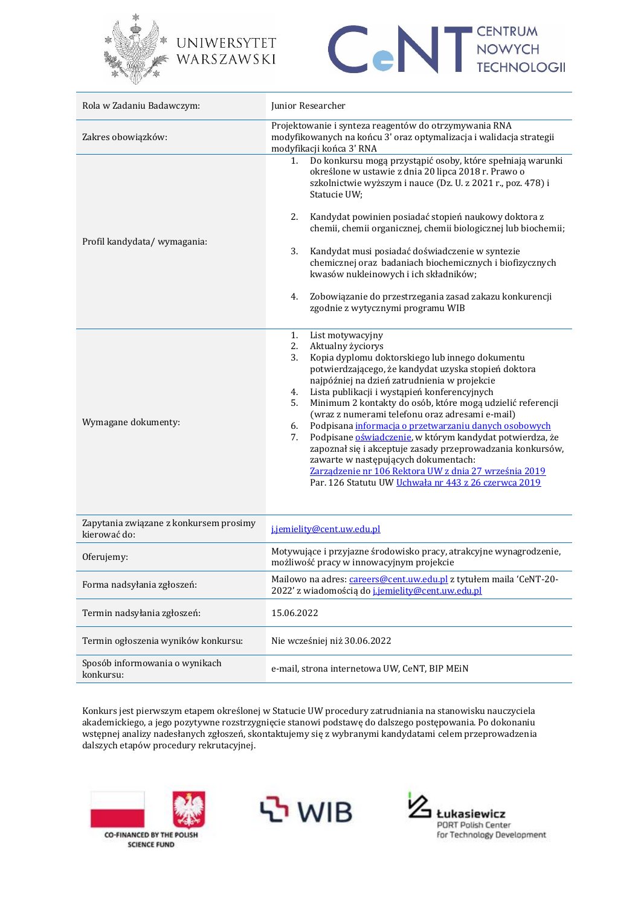



| Rola w Zadaniu Badawczym:                              | Junior Researcher                                                                                                                                                                                                                                                                                                                                                                                                                                                                                                                                                                                                                                                                                                                                       |
|--------------------------------------------------------|---------------------------------------------------------------------------------------------------------------------------------------------------------------------------------------------------------------------------------------------------------------------------------------------------------------------------------------------------------------------------------------------------------------------------------------------------------------------------------------------------------------------------------------------------------------------------------------------------------------------------------------------------------------------------------------------------------------------------------------------------------|
| Zakres obowiązków:                                     | Projektowanie i synteza reagentów do otrzymywania RNA<br>modyfikowanych na końcu 3' oraz optymalizacja i walidacja strategii<br>modyfikacji końca 3' RNA                                                                                                                                                                                                                                                                                                                                                                                                                                                                                                                                                                                                |
| Profil kandydata/ wymagania:                           | Do konkursu mogą przystąpić osoby, które spełniają warunki<br>1.<br>określone w ustawie z dnia 20 lipca 2018 r. Prawo o<br>szkolnictwie wyższym i nauce (Dz. U. z 2021 r., poz. 478) i<br>Statucie UW;<br>Kandydat powinien posiadać stopień naukowy doktora z<br>2.<br>chemii, chemii organicznej, chemii biologicznej lub biochemii;<br>3.<br>Kandydat musi posiadać doświadczenie w syntezie<br>chemicznej oraz badaniach biochemicznych i biofizycznych<br>kwasów nukleinowych i ich składników;<br>Zobowiązanie do przestrzegania zasad zakazu konkurencji<br>4.<br>zgodnie z wytycznymi programu WIB                                                                                                                                              |
| Wymagane dokumenty:                                    | List motywacyjny<br>1.<br>2.<br>Aktualny życiorys<br>3.<br>Kopia dyplomu doktorskiego lub innego dokumentu<br>potwierdzającego, że kandydat uzyska stopień doktora<br>najpóźniej na dzień zatrudnienia w projekcie<br>Lista publikacji i wystąpień konferencyjnych<br>4.<br>Minimum 2 kontakty do osób, które mogą udzielić referencji<br>5.<br>(wraz z numerami telefonu oraz adresami e-mail)<br>Podpisana informacja o przetwarzaniu danych osobowych<br>6.<br>Podpisane oświadczenie, w którym kandydat potwierdza, że<br>7.<br>zapoznał się i akceptuje zasady przeprowadzania konkursów,<br>zawarte w następujących dokumentach:<br>Zarządzenie nr 106 Rektora UW z dnia 27 września 2019<br>Par. 126 Statutu UW Uchwała nr 443 z 26 czerwca 2019 |
| Zapytania związane z konkursem prosimy<br>kierować do: | j.jemielity@cent.uw.edu.pl                                                                                                                                                                                                                                                                                                                                                                                                                                                                                                                                                                                                                                                                                                                              |
| Oferujemy:                                             | Motywujące i przyjazne środowisko pracy, atrakcyjne wynagrodzenie,<br>możliwość pracy w innowacyjnym projekcie                                                                                                                                                                                                                                                                                                                                                                                                                                                                                                                                                                                                                                          |
| Forma nadsyłania zgłoszeń:                             | Mailowo na adres: careers@cent.uw.edu.pl z tytułem maila 'CeNT-20-<br>2022' z wiadomością do j.jemielity@cent.uw.edu.pl                                                                                                                                                                                                                                                                                                                                                                                                                                                                                                                                                                                                                                 |
| Termin nadsyłania zgłoszeń:                            | 15.06.2022                                                                                                                                                                                                                                                                                                                                                                                                                                                                                                                                                                                                                                                                                                                                              |
| Termin ogłoszenia wyników konkursu:                    | Nie wcześniej niż 30.06.2022                                                                                                                                                                                                                                                                                                                                                                                                                                                                                                                                                                                                                                                                                                                            |
| Sposób informowania o wynikach<br>konkursu:            | e-mail, strona internetowa UW, CeNT, BIP MEiN                                                                                                                                                                                                                                                                                                                                                                                                                                                                                                                                                                                                                                                                                                           |

Konkurs jest pierwszym etapem określonej w Statucie UW procedury zatrudniania na stanowisku nauczyciela akademickiego, a jego pozytywne rozstrzygnięcie stanowi podstawę do dalszego postępowania. Po dokonaniu wstępnej analizy nadesłanych zgłoszeń, skontaktujemy się z wybranymi kandydatami celem przeprowadzenia dalszych etapów procedury rekrutacyjnej.